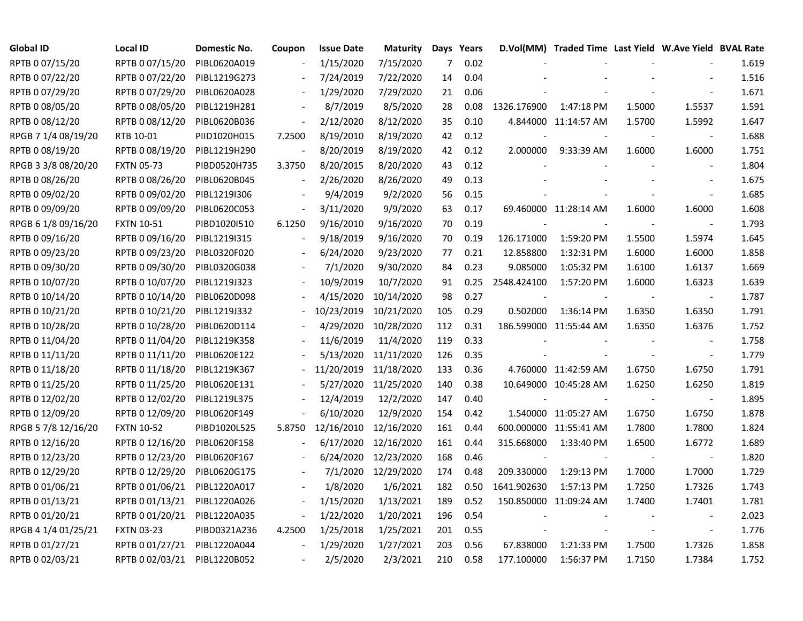| <b>Global ID</b>    | Local ID          | Domestic No. | Coupon                   | <b>Issue Date</b> | <b>Maturity</b>      |     | Days Years |             | D.Vol(MM) Traded Time Last Yield W.Ave Yield BVAL Rate |        |                |       |
|---------------------|-------------------|--------------|--------------------------|-------------------|----------------------|-----|------------|-------------|--------------------------------------------------------|--------|----------------|-------|
| RPTB 0 07/15/20     | RPTB 0 07/15/20   | PIBL0620A019 |                          | 1/15/2020         | 7/15/2020            | 7   | 0.02       |             |                                                        |        |                | 1.619 |
| RPTB 0 07/22/20     | RPTB 0 07/22/20   | PIBL1219G273 |                          | 7/24/2019         | 7/22/2020            | 14  | 0.04       |             |                                                        |        |                | 1.516 |
| RPTB 0 07/29/20     | RPTB 0 07/29/20   | PIBL0620A028 |                          | 1/29/2020         | 7/29/2020            | 21  | 0.06       |             |                                                        |        |                | 1.671 |
| RPTB 0 08/05/20     | RPTB 0 08/05/20   | PIBL1219H281 |                          | 8/7/2019          | 8/5/2020             | 28  | 0.08       | 1326.176900 | 1:47:18 PM                                             | 1.5000 | 1.5537         | 1.591 |
| RPTB 0 08/12/20     | RPTB 0 08/12/20   | PIBL0620B036 | $\overline{\phantom{a}}$ | 2/12/2020         | 8/12/2020            | 35  | 0.10       |             | 4.844000 11:14:57 AM                                   | 1.5700 | 1.5992         | 1.647 |
| RPGB 7 1/4 08/19/20 | RTB 10-01         | PIID1020H015 | 7.2500                   | 8/19/2010         | 8/19/2020            | 42  | 0.12       |             |                                                        |        | $\blacksquare$ | 1.688 |
| RPTB 0 08/19/20     | RPTB 0 08/19/20   | PIBL1219H290 |                          | 8/20/2019         | 8/19/2020            | 42  | 0.12       | 2.000000    | 9:33:39 AM                                             | 1.6000 | 1.6000         | 1.751 |
| RPGB 3 3/8 08/20/20 | <b>FXTN 05-73</b> | PIBD0520H735 | 3.3750                   | 8/20/2015         | 8/20/2020            | 43  | 0.12       |             |                                                        |        | $\blacksquare$ | 1.804 |
| RPTB 0 08/26/20     | RPTB 0 08/26/20   | PIBL0620B045 | $\blacksquare$           | 2/26/2020         | 8/26/2020            | 49  | 0.13       |             |                                                        |        |                | 1.675 |
| RPTB 0 09/02/20     | RPTB 0 09/02/20   | PIBL1219I306 |                          | 9/4/2019          | 9/2/2020             | 56  | 0.15       |             |                                                        |        | $\blacksquare$ | 1.685 |
| RPTB 0 09/09/20     | RPTB 0 09/09/20   | PIBL0620C053 |                          | 3/11/2020         | 9/9/2020             | 63  | 0.17       |             | 69.460000 11:28:14 AM                                  | 1.6000 | 1.6000         | 1.608 |
| RPGB 6 1/8 09/16/20 | <b>FXTN 10-51</b> | PIBD1020I510 | 6.1250                   | 9/16/2010         | 9/16/2020            | 70  | 0.19       |             |                                                        | $\sim$ | $\sim$         | 1.793 |
| RPTB 0 09/16/20     | RPTB 0 09/16/20   | PIBL1219I315 |                          | 9/18/2019         | 9/16/2020            | 70  | 0.19       | 126.171000  | 1:59:20 PM                                             | 1.5500 | 1.5974         | 1.645 |
| RPTB 0 09/23/20     | RPTB 0 09/23/20   | PIBL0320F020 |                          | 6/24/2020         | 9/23/2020            | 77  | 0.21       | 12.858800   | 1:32:31 PM                                             | 1.6000 | 1.6000         | 1.858 |
| RPTB 0 09/30/20     | RPTB 0 09/30/20   | PIBL0320G038 |                          | 7/1/2020          | 9/30/2020            | 84  | 0.23       | 9.085000    | 1:05:32 PM                                             | 1.6100 | 1.6137         | 1.669 |
| RPTB 0 10/07/20     | RPTB 0 10/07/20   | PIBL1219J323 |                          | 10/9/2019         | 10/7/2020            | 91  | 0.25       | 2548.424100 | 1:57:20 PM                                             | 1.6000 | 1.6323         | 1.639 |
| RPTB 0 10/14/20     | RPTB 0 10/14/20   | PIBL0620D098 |                          | 4/15/2020         | 10/14/2020           | 98  | 0.27       |             |                                                        |        |                | 1.787 |
| RPTB 0 10/21/20     | RPTB 0 10/21/20   | PIBL1219J332 |                          | 10/23/2019        | 10/21/2020           | 105 | 0.29       | 0.502000    | 1:36:14 PM                                             | 1.6350 | 1.6350         | 1.791 |
| RPTB 0 10/28/20     | RPTB 0 10/28/20   | PIBL0620D114 |                          | 4/29/2020         | 10/28/2020           | 112 | 0.31       |             | 186.599000 11:55:44 AM                                 | 1.6350 | 1.6376         | 1.752 |
| RPTB 0 11/04/20     | RPTB 0 11/04/20   | PIBL1219K358 |                          | 11/6/2019         | 11/4/2020            | 119 | 0.33       |             |                                                        |        | $\blacksquare$ | 1.758 |
| RPTB 0 11/11/20     | RPTB 0 11/11/20   | PIBL0620E122 |                          | 5/13/2020         | 11/11/2020           | 126 | 0.35       |             |                                                        |        | $\blacksquare$ | 1.779 |
| RPTB 0 11/18/20     | RPTB 0 11/18/20   | PIBL1219K367 |                          | 11/20/2019        | 11/18/2020           | 133 | 0.36       |             | 4.760000 11:42:59 AM                                   | 1.6750 | 1.6750         | 1.791 |
| RPTB 0 11/25/20     | RPTB 0 11/25/20   | PIBL0620E131 |                          |                   | 5/27/2020 11/25/2020 | 140 | 0.38       |             | 10.649000 10:45:28 AM                                  | 1.6250 | 1.6250         | 1.819 |
| RPTB 0 12/02/20     | RPTB 0 12/02/20   | PIBL1219L375 |                          | 12/4/2019         | 12/2/2020            | 147 | 0.40       |             |                                                        |        | $\sim$         | 1.895 |
| RPTB 0 12/09/20     | RPTB 0 12/09/20   | PIBL0620F149 |                          | 6/10/2020         | 12/9/2020            | 154 | 0.42       |             | 1.540000 11:05:27 AM                                   | 1.6750 | 1.6750         | 1.878 |
| RPGB 5 7/8 12/16/20 | <b>FXTN 10-52</b> | PIBD1020L525 | 5.8750                   | 12/16/2010        | 12/16/2020           | 161 | 0.44       |             | 600.000000 11:55:41 AM                                 | 1.7800 | 1.7800         | 1.824 |
| RPTB 0 12/16/20     | RPTB 0 12/16/20   | PIBL0620F158 |                          | 6/17/2020         | 12/16/2020           | 161 | 0.44       | 315.668000  | 1:33:40 PM                                             | 1.6500 | 1.6772         | 1.689 |
| RPTB 0 12/23/20     | RPTB 0 12/23/20   | PIBL0620F167 |                          | 6/24/2020         | 12/23/2020           | 168 | 0.46       |             |                                                        |        | $\blacksquare$ | 1.820 |
| RPTB 0 12/29/20     | RPTB 0 12/29/20   | PIBL0620G175 |                          | 7/1/2020          | 12/29/2020           | 174 | 0.48       | 209.330000  | 1:29:13 PM                                             | 1.7000 | 1.7000         | 1.729 |
| RPTB 0 01/06/21     | RPTB 0 01/06/21   | PIBL1220A017 |                          | 1/8/2020          | 1/6/2021             | 182 | 0.50       | 1641.902630 | 1:57:13 PM                                             | 1.7250 | 1.7326         | 1.743 |
| RPTB 0 01/13/21     | RPTB 0 01/13/21   | PIBL1220A026 | $\blacksquare$           | 1/15/2020         | 1/13/2021            | 189 | 0.52       |             | 150.850000 11:09:24 AM                                 | 1.7400 | 1.7401         | 1.781 |
| RPTB 0 01/20/21     | RPTB 0 01/20/21   | PIBL1220A035 | $\overline{\phantom{a}}$ | 1/22/2020         | 1/20/2021            | 196 | 0.54       |             |                                                        |        | $\blacksquare$ | 2.023 |
| RPGB 4 1/4 01/25/21 | <b>FXTN 03-23</b> | PIBD0321A236 | 4.2500                   | 1/25/2018         | 1/25/2021            | 201 | 0.55       |             |                                                        |        | $\blacksquare$ | 1.776 |
| RPTB 0 01/27/21     | RPTB 0 01/27/21   | PIBL1220A044 |                          | 1/29/2020         | 1/27/2021            | 203 | 0.56       | 67.838000   | 1:21:33 PM                                             | 1.7500 | 1.7326         | 1.858 |
| RPTB 0 02/03/21     | RPTB 0 02/03/21   | PIBL1220B052 |                          | 2/5/2020          | 2/3/2021             | 210 | 0.58       | 177.100000  | 1:56:37 PM                                             | 1.7150 | 1.7384         | 1.752 |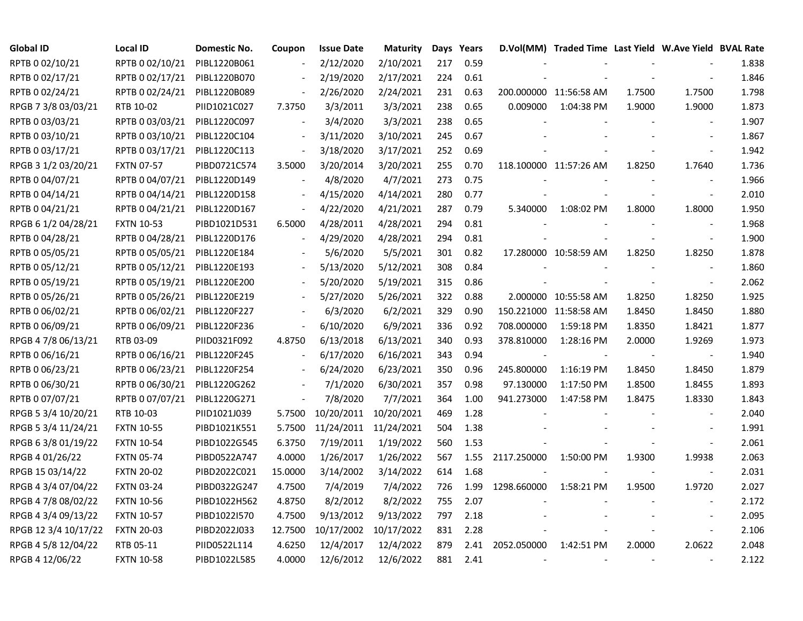| <b>Global ID</b>     | <b>Local ID</b>   | Domestic No. | Coupon                   | <b>Issue Date</b>     | <b>Maturity</b> |     | Days Years |             | D.Vol(MM) Traded Time Last Yield W.Ave Yield BVAL Rate |        |                |       |
|----------------------|-------------------|--------------|--------------------------|-----------------------|-----------------|-----|------------|-------------|--------------------------------------------------------|--------|----------------|-------|
| RPTB 0 02/10/21      | RPTB 0 02/10/21   | PIBL1220B061 |                          | 2/12/2020             | 2/10/2021       | 217 | 0.59       |             |                                                        |        |                | 1.838 |
| RPTB 0 02/17/21      | RPTB 0 02/17/21   | PIBL1220B070 |                          | 2/19/2020             | 2/17/2021       | 224 | 0.61       |             |                                                        |        |                | 1.846 |
| RPTB 0 02/24/21      | RPTB 0 02/24/21   | PIBL1220B089 | $\overline{\phantom{a}}$ | 2/26/2020             | 2/24/2021       | 231 | 0.63       |             | 200.000000 11:56:58 AM                                 | 1.7500 | 1.7500         | 1.798 |
| RPGB 7 3/8 03/03/21  | RTB 10-02         | PIID1021C027 | 7.3750                   | 3/3/2011              | 3/3/2021        | 238 | 0.65       | 0.009000    | 1:04:38 PM                                             | 1.9000 | 1.9000         | 1.873 |
| RPTB 0 03/03/21      | RPTB 0 03/03/21   | PIBL1220C097 |                          | 3/4/2020              | 3/3/2021        | 238 | 0.65       |             |                                                        |        |                | 1.907 |
| RPTB 0 03/10/21      | RPTB 0 03/10/21   | PIBL1220C104 | $\blacksquare$           | 3/11/2020             | 3/10/2021       | 245 | 0.67       |             |                                                        |        |                | 1.867 |
| RPTB 0 03/17/21      | RPTB 0 03/17/21   | PIBL1220C113 | $\overline{\phantom{a}}$ | 3/18/2020             | 3/17/2021       | 252 | 0.69       |             |                                                        |        | $\blacksquare$ | 1.942 |
| RPGB 3 1/2 03/20/21  | <b>FXTN 07-57</b> | PIBD0721C574 | 3.5000                   | 3/20/2014             | 3/20/2021       | 255 | 0.70       |             | 118.100000 11:57:26 AM                                 | 1.8250 | 1.7640         | 1.736 |
| RPTB 0 04/07/21      | RPTB 0 04/07/21   | PIBL1220D149 |                          | 4/8/2020              | 4/7/2021        | 273 | 0.75       |             |                                                        |        |                | 1.966 |
| RPTB 0 04/14/21      | RPTB 0 04/14/21   | PIBL1220D158 |                          | 4/15/2020             | 4/14/2021       | 280 | 0.77       |             |                                                        |        | $\blacksquare$ | 2.010 |
| RPTB 0 04/21/21      | RPTB 0 04/21/21   | PIBL1220D167 | $\blacksquare$           | 4/22/2020             | 4/21/2021       | 287 | 0.79       | 5.340000    | 1:08:02 PM                                             | 1.8000 | 1.8000         | 1.950 |
| RPGB 6 1/2 04/28/21  | <b>FXTN 10-53</b> | PIBD1021D531 | 6.5000                   | 4/28/2011             | 4/28/2021       | 294 | 0.81       |             |                                                        |        | $\sim$         | 1.968 |
| RPTB 0 04/28/21      | RPTB 0 04/28/21   | PIBL1220D176 | $\blacksquare$           | 4/29/2020             | 4/28/2021       | 294 | 0.81       |             |                                                        |        | $\sim$         | 1.900 |
| RPTB 0 05/05/21      | RPTB 0 05/05/21   | PIBL1220E184 |                          | 5/6/2020              | 5/5/2021        | 301 | 0.82       |             | 17.280000 10:58:59 AM                                  | 1.8250 | 1.8250         | 1.878 |
| RPTB 0 05/12/21      | RPTB 0 05/12/21   | PIBL1220E193 |                          | 5/13/2020             | 5/12/2021       | 308 | 0.84       |             |                                                        |        |                | 1.860 |
| RPTB 0 05/19/21      | RPTB 0 05/19/21   | PIBL1220E200 |                          | 5/20/2020             | 5/19/2021       | 315 | 0.86       |             |                                                        |        |                | 2.062 |
| RPTB 0 05/26/21      | RPTB 0 05/26/21   | PIBL1220E219 |                          | 5/27/2020             | 5/26/2021       | 322 | 0.88       |             | 2.000000 10:55:58 AM                                   | 1.8250 | 1.8250         | 1.925 |
| RPTB 0 06/02/21      | RPTB 0 06/02/21   | PIBL1220F227 | $\overline{\phantom{a}}$ | 6/3/2020              | 6/2/2021        | 329 | 0.90       |             | 150.221000 11:58:58 AM                                 | 1.8450 | 1.8450         | 1.880 |
| RPTB 0 06/09/21      | RPTB 0 06/09/21   | PIBL1220F236 | $\overline{\phantom{a}}$ | 6/10/2020             | 6/9/2021        | 336 | 0.92       | 708.000000  | 1:59:18 PM                                             | 1.8350 | 1.8421         | 1.877 |
| RPGB 4 7/8 06/13/21  | RTB 03-09         | PIID0321F092 | 4.8750                   | 6/13/2018             | 6/13/2021       | 340 | 0.93       | 378.810000  | 1:28:16 PM                                             | 2.0000 | 1.9269         | 1.973 |
| RPTB 0 06/16/21      | RPTB 0 06/16/21   | PIBL1220F245 | $\blacksquare$           | 6/17/2020             | 6/16/2021       | 343 | 0.94       |             |                                                        |        |                | 1.940 |
| RPTB 0 06/23/21      | RPTB 0 06/23/21   | PIBL1220F254 | $\blacksquare$           | 6/24/2020             | 6/23/2021       | 350 | 0.96       | 245.800000  | 1:16:19 PM                                             | 1.8450 | 1.8450         | 1.879 |
| RPTB 0 06/30/21      | RPTB 0 06/30/21   | PIBL1220G262 | $\overline{\phantom{a}}$ | 7/1/2020              | 6/30/2021       | 357 | 0.98       | 97.130000   | 1:17:50 PM                                             | 1.8500 | 1.8455         | 1.893 |
| RPTB 0 07/07/21      | RPTB 0 07/07/21   | PIBL1220G271 | $\overline{\phantom{a}}$ | 7/8/2020              | 7/7/2021        | 364 | 1.00       | 941.273000  | 1:47:58 PM                                             | 1.8475 | 1.8330         | 1.843 |
| RPGB 5 3/4 10/20/21  | RTB 10-03         | PIID1021J039 | 5.7500                   | 10/20/2011            | 10/20/2021      | 469 | 1.28       |             |                                                        |        |                | 2.040 |
| RPGB 5 3/4 11/24/21  | <b>FXTN 10-55</b> | PIBD1021K551 | 5.7500                   | 11/24/2011 11/24/2021 |                 | 504 | 1.38       |             |                                                        |        |                | 1.991 |
| RPGB 63/8 01/19/22   | <b>FXTN 10-54</b> | PIBD1022G545 | 6.3750                   | 7/19/2011             | 1/19/2022       | 560 | 1.53       |             |                                                        |        | $\sim$         | 2.061 |
| RPGB 4 01/26/22      | <b>FXTN 05-74</b> | PIBD0522A747 | 4.0000                   | 1/26/2017             | 1/26/2022       | 567 | 1.55       | 2117.250000 | 1:50:00 PM                                             | 1.9300 | 1.9938         | 2.063 |
| RPGB 15 03/14/22     | <b>FXTN 20-02</b> | PIBD2022C021 | 15.0000                  | 3/14/2002             | 3/14/2022       | 614 | 1.68       |             |                                                        |        |                | 2.031 |
| RPGB 4 3/4 07/04/22  | <b>FXTN 03-24</b> | PIBD0322G247 | 4.7500                   | 7/4/2019              | 7/4/2022        | 726 | 1.99       | 1298.660000 | 1:58:21 PM                                             | 1.9500 | 1.9720         | 2.027 |
| RPGB 4 7/8 08/02/22  | <b>FXTN 10-56</b> | PIBD1022H562 | 4.8750                   | 8/2/2012              | 8/2/2022        | 755 | 2.07       |             |                                                        |        | $\blacksquare$ | 2.172 |
| RPGB 4 3/4 09/13/22  | <b>FXTN 10-57</b> | PIBD1022I570 | 4.7500                   | 9/13/2012             | 9/13/2022       | 797 | 2.18       |             |                                                        |        |                | 2.095 |
| RPGB 12 3/4 10/17/22 | <b>FXTN 20-03</b> | PIBD2022J033 | 12.7500                  | 10/17/2002            | 10/17/2022      | 831 | 2.28       |             |                                                        |        | $\blacksquare$ | 2.106 |
| RPGB 4 5/8 12/04/22  | RTB 05-11         | PIID0522L114 | 4.6250                   | 12/4/2017             | 12/4/2022       | 879 | 2.41       | 2052.050000 | 1:42:51 PM                                             | 2.0000 | 2.0622         | 2.048 |
| RPGB 4 12/06/22      | <b>FXTN 10-58</b> | PIBD1022L585 | 4.0000                   | 12/6/2012             | 12/6/2022       | 881 | 2.41       |             |                                                        |        |                | 2.122 |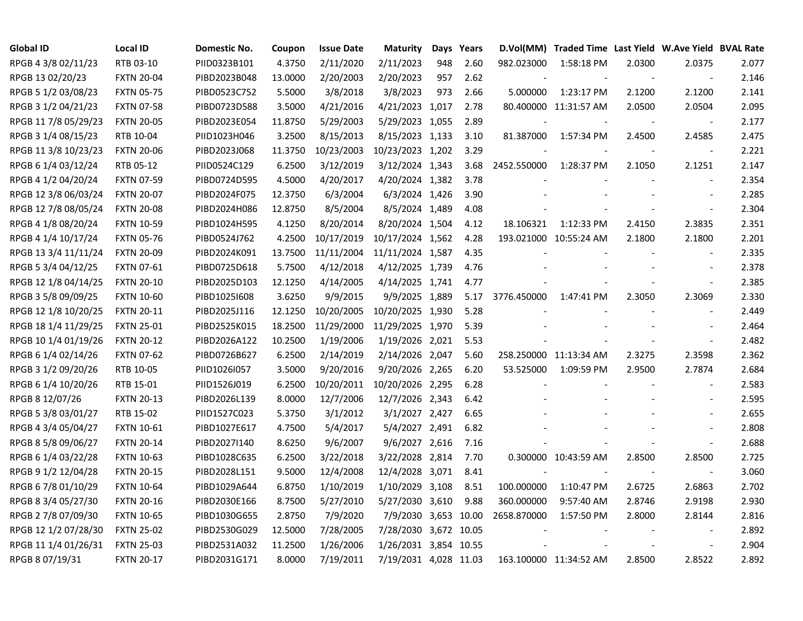| <b>Global ID</b>     | <b>Local ID</b>   | Domestic No. | Coupon  | <b>Issue Date</b> | <b>Maturity</b>       |     | Days Years |             | D.Vol(MM) Traded Time Last Yield W.Ave Yield BVAL Rate |        |                          |       |
|----------------------|-------------------|--------------|---------|-------------------|-----------------------|-----|------------|-------------|--------------------------------------------------------|--------|--------------------------|-------|
| RPGB 4 3/8 02/11/23  | RTB 03-10         | PIID0323B101 | 4.3750  | 2/11/2020         | 2/11/2023             | 948 | 2.60       | 982.023000  | 1:58:18 PM                                             | 2.0300 | 2.0375                   | 2.077 |
| RPGB 13 02/20/23     | <b>FXTN 20-04</b> | PIBD2023B048 | 13.0000 | 2/20/2003         | 2/20/2023             | 957 | 2.62       |             |                                                        |        | $\overline{\phantom{a}}$ | 2.146 |
| RPGB 5 1/2 03/08/23  | <b>FXTN 05-75</b> | PIBD0523C752 | 5.5000  | 3/8/2018          | 3/8/2023              | 973 | 2.66       | 5.000000    | 1:23:17 PM                                             | 2.1200 | 2.1200                   | 2.141 |
| RPGB 3 1/2 04/21/23  | <b>FXTN 07-58</b> | PIBD0723D588 | 3.5000  | 4/21/2016         | 4/21/2023 1,017       |     | 2.78       |             | 80.400000 11:31:57 AM                                  | 2.0500 | 2.0504                   | 2.095 |
| RPGB 11 7/8 05/29/23 | <b>FXTN 20-05</b> | PIBD2023E054 | 11.8750 | 5/29/2003         | 5/29/2023 1,055       |     | 2.89       |             |                                                        |        |                          | 2.177 |
| RPGB 3 1/4 08/15/23  | RTB 10-04         | PIID1023H046 | 3.2500  | 8/15/2013         | 8/15/2023 1,133       |     | 3.10       | 81.387000   | 1:57:34 PM                                             | 2.4500 | 2.4585                   | 2.475 |
| RPGB 11 3/8 10/23/23 | <b>FXTN 20-06</b> | PIBD2023J068 | 11.3750 | 10/23/2003        | 10/23/2023 1,202      |     | 3.29       |             |                                                        |        | $\overline{\phantom{a}}$ | 2.221 |
| RPGB 6 1/4 03/12/24  | RTB 05-12         | PIID0524C129 | 6.2500  | 3/12/2019         | 3/12/2024 1,343       |     | 3.68       | 2452.550000 | 1:28:37 PM                                             | 2.1050 | 2.1251                   | 2.147 |
| RPGB 4 1/2 04/20/24  | <b>FXTN 07-59</b> | PIBD0724D595 | 4.5000  | 4/20/2017         | 4/20/2024 1,382       |     | 3.78       |             |                                                        |        | $\blacksquare$           | 2.354 |
| RPGB 12 3/8 06/03/24 | <b>FXTN 20-07</b> | PIBD2024F075 | 12.3750 | 6/3/2004          | 6/3/2024 1,426        |     | 3.90       |             |                                                        |        | $\sim$                   | 2.285 |
| RPGB 12 7/8 08/05/24 | <b>FXTN 20-08</b> | PIBD2024H086 | 12.8750 | 8/5/2004          | 8/5/2024 1,489        |     | 4.08       |             |                                                        |        | $\blacksquare$           | 2.304 |
| RPGB 4 1/8 08/20/24  | <b>FXTN 10-59</b> | PIBD1024H595 | 4.1250  | 8/20/2014         | 8/20/2024 1,504       |     | 4.12       | 18.106321   | 1:12:33 PM                                             | 2.4150 | 2.3835                   | 2.351 |
| RPGB 4 1/4 10/17/24  | <b>FXTN 05-76</b> | PIBD0524J762 | 4.2500  | 10/17/2019        | 10/17/2024 1,562      |     | 4.28       |             | 193.021000 10:55:24 AM                                 | 2.1800 | 2.1800                   | 2.201 |
| RPGB 13 3/4 11/11/24 | <b>FXTN 20-09</b> | PIBD2024K091 | 13.7500 | 11/11/2004        | 11/11/2024 1,587      |     | 4.35       |             |                                                        |        |                          | 2.335 |
| RPGB 5 3/4 04/12/25  | <b>FXTN 07-61</b> | PIBD0725D618 | 5.7500  | 4/12/2018         | 4/12/2025 1,739       |     | 4.76       |             |                                                        |        |                          | 2.378 |
| RPGB 12 1/8 04/14/25 | <b>FXTN 20-10</b> | PIBD2025D103 | 12.1250 | 4/14/2005         | 4/14/2025 1,741       |     | 4.77       |             |                                                        |        |                          | 2.385 |
| RPGB 3 5/8 09/09/25  | <b>FXTN 10-60</b> | PIBD1025I608 | 3.6250  | 9/9/2015          | 9/9/2025 1,889        |     | 5.17       | 3776.450000 | 1:47:41 PM                                             | 2.3050 | 2.3069                   | 2.330 |
| RPGB 12 1/8 10/20/25 | <b>FXTN 20-11</b> | PIBD2025J116 | 12.1250 | 10/20/2005        | 10/20/2025 1,930      |     | 5.28       |             |                                                        |        |                          | 2.449 |
| RPGB 18 1/4 11/29/25 | <b>FXTN 25-01</b> | PIBD2525K015 | 18.2500 | 11/29/2000        | 11/29/2025 1,970      |     | 5.39       |             |                                                        |        | $\blacksquare$           | 2.464 |
| RPGB 10 1/4 01/19/26 | <b>FXTN 20-12</b> | PIBD2026A122 | 10.2500 | 1/19/2006         | 1/19/2026 2,021       |     | 5.53       |             |                                                        |        | $\overline{\phantom{a}}$ | 2.482 |
| RPGB 6 1/4 02/14/26  | <b>FXTN 07-62</b> | PIBD0726B627 | 6.2500  | 2/14/2019         | 2/14/2026 2,047       |     | 5.60       |             | 258.250000 11:13:34 AM                                 | 2.3275 | 2.3598                   | 2.362 |
| RPGB 3 1/2 09/20/26  | RTB 10-05         | PIID1026I057 | 3.5000  | 9/20/2016         | 9/20/2026 2,265       |     | 6.20       | 53.525000   | 1:09:59 PM                                             | 2.9500 | 2.7874                   | 2.684 |
| RPGB 6 1/4 10/20/26  | RTB 15-01         | PIID1526J019 | 6.2500  | 10/20/2011        | 10/20/2026 2,295      |     | 6.28       |             |                                                        |        | $\blacksquare$           | 2.583 |
| RPGB 8 12/07/26      | <b>FXTN 20-13</b> | PIBD2026L139 | 8.0000  | 12/7/2006         | 12/7/2026 2,343       |     | 6.42       |             |                                                        |        | $\overline{\phantom{a}}$ | 2.595 |
| RPGB 5 3/8 03/01/27  | RTB 15-02         | PIID1527C023 | 5.3750  | 3/1/2012          | 3/1/2027 2,427        |     | 6.65       |             |                                                        |        | $\overline{\phantom{a}}$ | 2.655 |
| RPGB 4 3/4 05/04/27  | <b>FXTN 10-61</b> | PIBD1027E617 | 4.7500  | 5/4/2017          | 5/4/2027 2,491        |     | 6.82       |             |                                                        |        | $\overline{\phantom{a}}$ | 2.808 |
| RPGB 8 5/8 09/06/27  | <b>FXTN 20-14</b> | PIBD2027I140 | 8.6250  | 9/6/2007          | 9/6/2027 2,616        |     | 7.16       |             |                                                        |        | $\Box$                   | 2.688 |
| RPGB 6 1/4 03/22/28  | <b>FXTN 10-63</b> | PIBD1028C635 | 6.2500  | 3/22/2018         | 3/22/2028 2,814       |     | 7.70       |             | 0.300000 10:43:59 AM                                   | 2.8500 | 2.8500                   | 2.725 |
| RPGB 9 1/2 12/04/28  | <b>FXTN 20-15</b> | PIBD2028L151 | 9.5000  | 12/4/2008         | 12/4/2028 3,071       |     | 8.41       |             |                                                        |        |                          | 3.060 |
| RPGB 6 7/8 01/10/29  | <b>FXTN 10-64</b> | PIBD1029A644 | 6.8750  | 1/10/2019         | 1/10/2029 3,108       |     | 8.51       | 100.000000  | 1:10:47 PM                                             | 2.6725 | 2.6863                   | 2.702 |
| RPGB 8 3/4 05/27/30  | <b>FXTN 20-16</b> | PIBD2030E166 | 8.7500  | 5/27/2010         | 5/27/2030 3,610       |     | 9.88       | 360.000000  | 9:57:40 AM                                             | 2.8746 | 2.9198                   | 2.930 |
| RPGB 2 7/8 07/09/30  | <b>FXTN 10-65</b> | PIBD1030G655 | 2.8750  | 7/9/2020          | 7/9/2030 3,653 10.00  |     |            | 2658.870000 | 1:57:50 PM                                             | 2.8000 | 2.8144                   | 2.816 |
| RPGB 12 1/2 07/28/30 | <b>FXTN 25-02</b> | PIBD2530G029 | 12.5000 | 7/28/2005         | 7/28/2030 3,672 10.05 |     |            |             |                                                        |        |                          | 2.892 |
| RPGB 11 1/4 01/26/31 | <b>FXTN 25-03</b> | PIBD2531A032 | 11.2500 | 1/26/2006         | 1/26/2031 3,854 10.55 |     |            |             |                                                        |        |                          | 2.904 |
| RPGB 8 07/19/31      | <b>FXTN 20-17</b> | PIBD2031G171 | 8.0000  | 7/19/2011         | 7/19/2031 4,028 11.03 |     |            |             | 163.100000 11:34:52 AM                                 | 2.8500 | 2.8522                   | 2.892 |